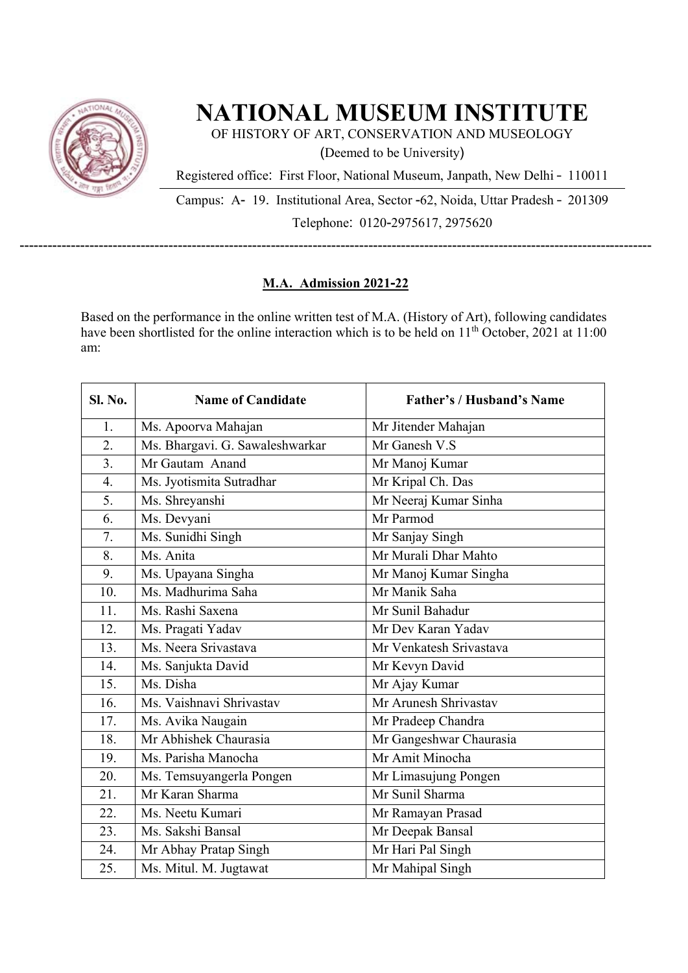

## **NATIONAL MUSEUM INSTITUTE**

OF HISTORY OF ART, CONSERVATION AND MUSEOLOGY (Deemed to be University)

Registered office: First Floor, National Museum, Janpath, New Delhi – 110011

Campus: A- 19. Institutional Area, Sector -62, Noida, Uttar Pradesh – 201309 Telephone: 0120-2975617, 2975620

----------------------------------------------------------------------------------------------------------------------------------------

## **M.A. Admission 2021-22**

Based on the performance in the online written test of M.A. (History of Art), following candidates have been shortlisted for the online interaction which is to be held on 11<sup>th</sup> October, 2021 at 11:00 am:

| <b>Sl. No.</b> | <b>Name of Candidate</b>        | <b>Father's / Husband's Name</b> |
|----------------|---------------------------------|----------------------------------|
| 1.             | Ms. Apoorva Mahajan             | Mr Jitender Mahajan              |
| 2.             | Ms. Bhargavi. G. Sawaleshwarkar | Mr Ganesh V.S                    |
| 3.             | Mr Gautam Anand                 | Mr Manoj Kumar                   |
| 4.             | Ms. Jyotismita Sutradhar        | Mr Kripal Ch. Das                |
| 5.             | Ms. Shreyanshi                  | Mr Neeraj Kumar Sinha            |
| 6.             | Ms. Devyani                     | Mr Parmod                        |
| 7.             | Ms. Sunidhi Singh               | Mr Sanjay Singh                  |
| 8.             | Ms. Anita                       | Mr Murali Dhar Mahto             |
| 9.             | Ms. Upayana Singha              | Mr Manoj Kumar Singha            |
| 10.            | Ms. Madhurima Saha              | Mr Manik Saha                    |
| 11.            | Ms. Rashi Saxena                | Mr Sunil Bahadur                 |
| 12.            | Ms. Pragati Yadav               | Mr Dev Karan Yadav               |
| 13.            | Ms. Neera Srivastava            | Mr Venkatesh Srivastava          |
| 14.            | Ms. Sanjukta David              | Mr Kevyn David                   |
| 15.            | Ms. Disha                       | Mr Ajay Kumar                    |
| 16.            | Ms. Vaishnavi Shrivastav        | Mr Arunesh Shrivastav            |
| 17.            | Ms. Avika Naugain               | Mr Pradeep Chandra               |
| 18.            | Mr Abhishek Chaurasia           | Mr Gangeshwar Chaurasia          |
| 19.            | Ms. Parisha Manocha             | Mr Amit Minocha                  |
| 20.            | Ms. Temsuyangerla Pongen        | Mr Limasujung Pongen             |
| 21.            | Mr Karan Sharma                 | Mr Sunil Sharma                  |
| 22.            | Ms. Neetu Kumari                | Mr Ramayan Prasad                |
| 23.            | Ms. Sakshi Bansal               | Mr Deepak Bansal                 |
| 24.            | Mr Abhay Pratap Singh           | Mr Hari Pal Singh                |
| 25.            | Ms. Mitul. M. Jugtawat          | Mr Mahipal Singh                 |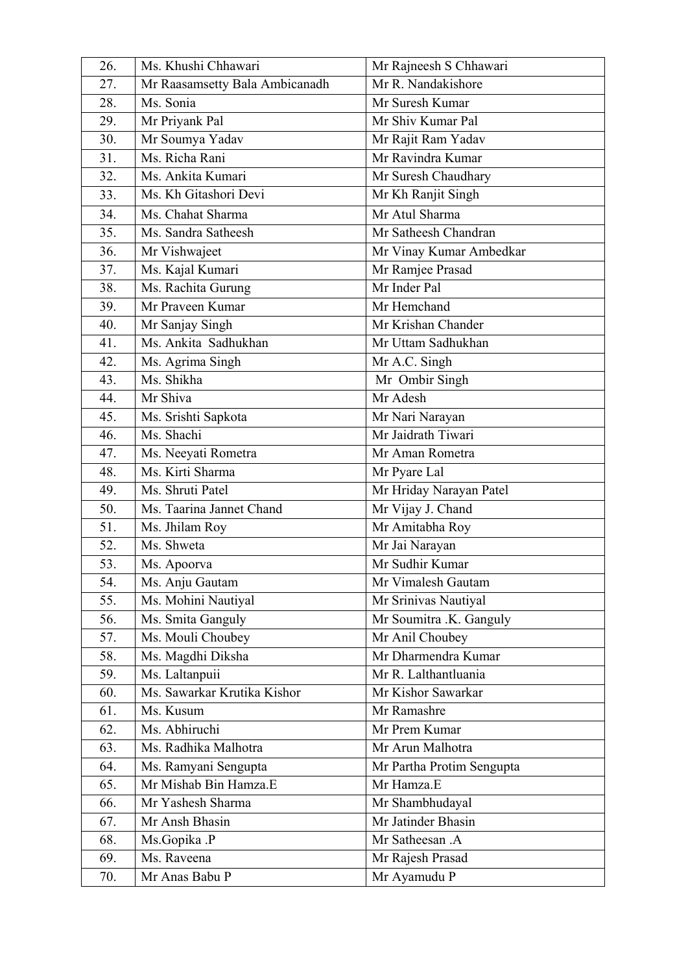| 26. | Ms. Khushi Chhawari            | Mr Rajneesh S Chhawari    |
|-----|--------------------------------|---------------------------|
| 27. | Mr Raasamsetty Bala Ambicanadh | Mr R. Nandakishore        |
| 28. | Ms. Sonia                      | Mr Suresh Kumar           |
| 29. | Mr Priyank Pal                 | Mr Shiv Kumar Pal         |
| 30. | Mr Soumya Yadav                | Mr Rajit Ram Yadav        |
| 31. | Ms. Richa Rani                 | Mr Ravindra Kumar         |
| 32. | Ms. Ankita Kumari              | Mr Suresh Chaudhary       |
| 33. | Ms. Kh Gitashori Devi          | Mr Kh Ranjit Singh        |
| 34. | Ms. Chahat Sharma              | Mr Atul Sharma            |
| 35. | Ms. Sandra Satheesh            | Mr Satheesh Chandran      |
| 36. | Mr Vishwajeet                  | Mr Vinay Kumar Ambedkar   |
| 37. | Ms. Kajal Kumari               | Mr Ramjee Prasad          |
| 38. | Ms. Rachita Gurung             | Mr Inder Pal              |
| 39. | Mr Praveen Kumar               | Mr Hemchand               |
| 40. | Mr Sanjay Singh                | Mr Krishan Chander        |
| 41. | Ms. Ankita Sadhukhan           | Mr Uttam Sadhukhan        |
| 42. | Ms. Agrima Singh               | Mr A.C. Singh             |
| 43. | Ms. Shikha                     | Mr Ombir Singh            |
| 44. | Mr Shiva                       | Mr Adesh                  |
| 45. | Ms. Srishti Sapkota            | Mr Nari Narayan           |
| 46. | Ms. Shachi                     | Mr Jaidrath Tiwari        |
| 47. | Ms. Neeyati Rometra            | Mr Aman Rometra           |
| 48. | Ms. Kirti Sharma               | Mr Pyare Lal              |
| 49. | Ms. Shruti Patel               | Mr Hriday Narayan Patel   |
| 50. | Ms. Taarina Jannet Chand       | Mr Vijay J. Chand         |
| 51. | Ms. Jhilam Roy                 | Mr Amitabha Roy           |
| 52. | Ms. Shweta                     | Mr Jai Narayan            |
| 53. | Ms. Apoorva                    | Mr Sudhir Kumar           |
| 54. | Ms. Anju Gautam                | Mr Vimalesh Gautam        |
| 55. | Ms. Mohini Nautiyal            | Mr Srinivas Nautiyal      |
| 56. | Ms. Smita Ganguly              | Mr Soumitra .K. Ganguly   |
| 57. | Ms. Mouli Choubey              | Mr Anil Choubey           |
| 58. | Ms. Magdhi Diksha              | Mr Dharmendra Kumar       |
| 59. | Ms. Laltanpuii                 | Mr R. Lalthantluania      |
| 60. | Ms. Sawarkar Krutika Kishor    | Mr Kishor Sawarkar        |
| 61. | Ms. Kusum                      | Mr Ramashre               |
| 62. | Ms. Abhiruchi                  | Mr Prem Kumar             |
| 63. | Ms. Radhika Malhotra           | Mr Arun Malhotra          |
| 64. | Ms. Ramyani Sengupta           | Mr Partha Protim Sengupta |
| 65. | Mr Mishab Bin Hamza.E          | Mr Hamza.E                |
| 66. | Mr Yashesh Sharma              | Mr Shambhudayal           |
| 67. | Mr Ansh Bhasin                 | Mr Jatinder Bhasin        |
| 68. | Ms.Gopika .P                   | Mr Satheesan .A           |
| 69. | Ms. Raveena                    | Mr Rajesh Prasad          |
| 70. | Mr Anas Babu P                 | Mr Ayamudu P              |